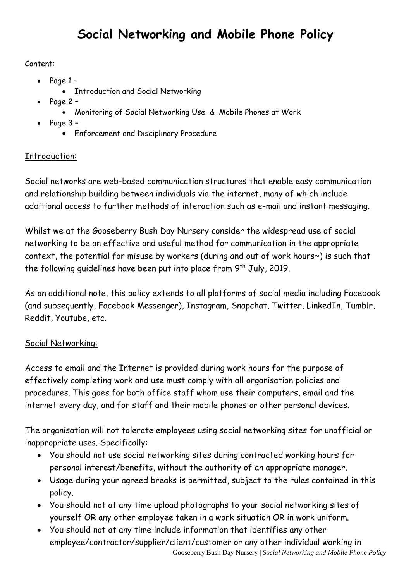### Content:

- Page 1
	- Introduction and Social Networking
- Page 2
	- Monitoring of Social Networking Use & Mobile Phones at Work
- $\bullet$  Page 3
	- Enforcement and Disciplinary Procedure

# Introduction:

Social networks are web-based communication structures that enable easy communication and relationship building between individuals via the internet, many of which include additional access to further methods of interaction such as e-mail and instant messaging.

Whilst we at the Gooseberry Bush Day Nursery consider the widespread use of social networking to be an effective and useful method for communication in the appropriate context, the potential for misuse by workers (during and out of work hours~) is such that the following quidelines have been put into place from  $9<sup>th</sup>$  July, 2019.

As an additional note, this policy extends to all platforms of social media including Facebook (and subsequently, Facebook Messenger), Instagram, Snapchat, Twitter, LinkedIn, Tumblr, Reddit, Youtube, etc.

# Social Networking:

Access to email and the Internet is provided during work hours for the purpose of effectively completing work and use must comply with all organisation policies and procedures. This goes for both office staff whom use their computers, email and the internet every day, and for staff and their mobile phones or other personal devices.

The organisation will not tolerate employees using social networking sites for unofficial or inappropriate uses. Specifically:

- You should not use social networking sites during contracted working hours for personal interest/benefits, without the authority of an appropriate manager.
- Usage during your agreed breaks is permitted, subject to the rules contained in this policy.
- You should not at any time upload photographs to your social networking sites of yourself OR any other employee taken in a work situation OR in work uniform.
- Gooseberry Bush Day Nursery | *Social Networking and Mobile Phone Policy* You should not at any time include information that identifies any other employee/contractor/supplier/client/customer or any other individual working in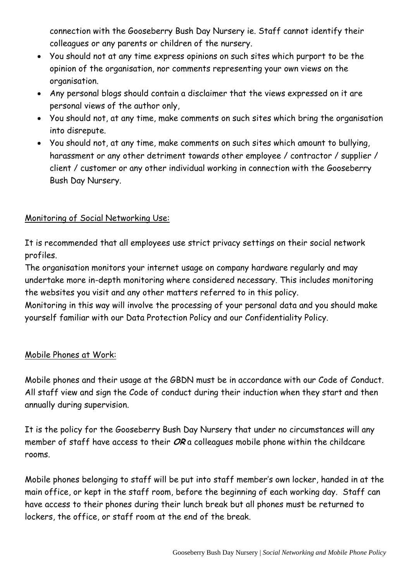connection with the Gooseberry Bush Day Nursery ie. Staff cannot identify their colleagues or any parents or children of the nursery.

- You should not at any time express opinions on such sites which purport to be the opinion of the organisation, nor comments representing your own views on the organisation.
- Any personal blogs should contain a disclaimer that the views expressed on it are personal views of the author only,
- You should not, at any time, make comments on such sites which bring the organisation into disrepute.
- You should not, at any time, make comments on such sites which amount to bullying, harassment or any other detriment towards other employee / contractor / supplier / client / customer or any other individual working in connection with the Gooseberry Bush Day Nursery.

#### Monitoring of Social Networking Use:

It is recommended that all employees use strict privacy settings on their social network profiles.

The organisation monitors your internet usage on company hardware regularly and may undertake more in-depth monitoring where considered necessary. This includes monitoring the websites you visit and any other matters referred to in this policy.

Monitoring in this way will involve the processing of your personal data and you should make yourself familiar with our Data Protection Policy and our Confidentiality Policy.

#### Mobile Phones at Work:

Mobile phones and their usage at the GBDN must be in accordance with our Code of Conduct. All staff view and sign the Code of conduct during their induction when they start and then annually during supervision.

It is the policy for the Gooseberry Bush Day Nursery that under no circumstances will any member of staff have access to their **OR** a colleagues mobile phone within the childcare rooms.

Mobile phones belonging to staff will be put into staff member's own locker, handed in at the main office, or kept in the staff room, before the beginning of each working day. Staff can have access to their phones during their lunch break but all phones must be returned to lockers, the office, or staff room at the end of the break.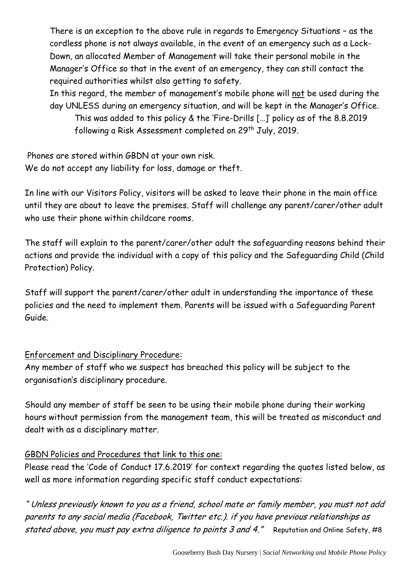There is an exception to the above rule in regards to Emergency Situations – as the cordless phone is not always available, in the event of an emergency such as a Lock-Down, an allocated Member of Management will take their personal mobile in the Manager's Office so that in the event of an emergency, they can still contact the required authorities whilst also getting to safety.

In this regard, the member of management's mobile phone will not be used during the day UNLESS during an emergency situation, and will be kept in the Manager's Office.

This was added to this policy & the 'Fire-Drills […]' policy as of the 8.8.2019 following a Risk Assessment completed on 29<sup>th</sup> July, 2019.

Phones are stored within GBDN at your own risk. We do not accept any liability for loss, damage or theft.

In line with our Visitors Policy, visitors will be asked to leave their phone in the main office until they are about to leave the premises. Staff will challenge any parent/carer/other adult who use their phone within childcare rooms.

The staff will explain to the parent/carer/other adult the safeguarding reasons behind their actions and provide the individual with a copy of this policy and the Safeguarding Child (Child Protection) Policy.

Staff will support the parent/carer/other adult in understanding the importance of these policies and the need to implement them. Parents will be issued with a Safeguarding Parent Guide.

#### Enforcement and Disciplinary Procedure:

Any member of staff who we suspect has breached this policy will be subject to the organisation's disciplinary procedure.

Should any member of staff be seen to be using their mobile phone during their working hours without permission from the management team, this will be treated as misconduct and dealt with as a disciplinary matter.

### GBDN Policies and Procedures that link to this one:

Please read the 'Code of Conduct 17.6.2019' for context regarding the quotes listed below, as well as more information regarding specific staff conduct expectations:

" Unless previously known to you as a friend, school mate or family member, you must not add parents to any social media (Facebook, Twitter etc.). if you have previous relationships as stated above, you must pay extra diligence to points 3 and 4." Reputation and Online Safety, #8